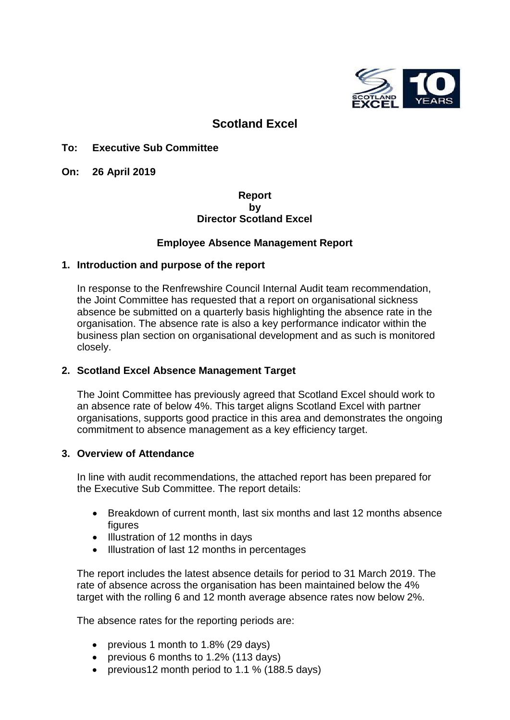

# **Scotland Excel**

# **To: Executive Sub Committee**

**On: 26 April 2019**

# **Report by Director Scotland Excel**

# **Employee Absence Management Report**

#### **1. Introduction and purpose of the report**

In response to the Renfrewshire Council Internal Audit team recommendation, the Joint Committee has requested that a report on organisational sickness absence be submitted on a quarterly basis highlighting the absence rate in the organisation. The absence rate is also a key performance indicator within the business plan section on organisational development and as such is monitored closely.

# **2. Scotland Excel Absence Management Target**

The Joint Committee has previously agreed that Scotland Excel should work to an absence rate of below 4%. This target aligns Scotland Excel with partner organisations, supports good practice in this area and demonstrates the ongoing commitment to absence management as a key efficiency target.

#### **3. Overview of Attendance**

In line with audit recommendations, the attached report has been prepared for the Executive Sub Committee. The report details:

- Breakdown of current month, last six months and last 12 months absence figures
- Illustration of 12 months in days
- Illustration of last 12 months in percentages

The report includes the latest absence details for period to 31 March 2019. The rate of absence across the organisation has been maintained below the 4% target with the rolling 6 and 12 month average absence rates now below 2%.

The absence rates for the reporting periods are:

- previous 1 month to 1.8% (29 days)
- previous 6 months to 1.2% (113 days)
- previous12 month period to 1.1 % (188.5 days)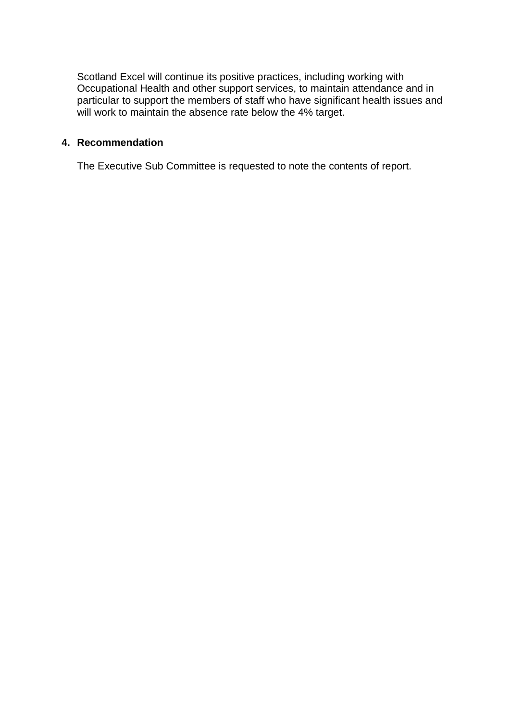Scotland Excel will continue its positive practices, including working with Occupational Health and other support services, to maintain attendance and in particular to support the members of staff who have significant health issues and will work to maintain the absence rate below the 4% target.

#### **4. Recommendation**

The Executive Sub Committee is requested to note the contents of report.